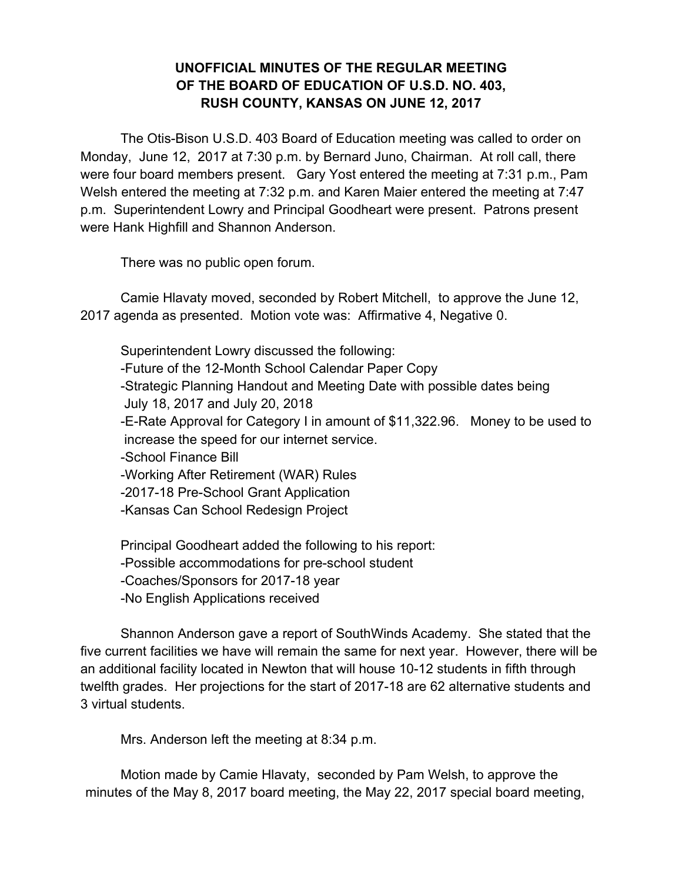## **UNOFFICIAL MINUTES OF THE REGULAR MEETING OF THE BOARD OF EDUCATION OF U.S.D. NO. 403, RUSH COUNTY, KANSAS ON JUNE 12, 2017**

The Otis-Bison U.S.D. 403 Board of Education meeting was called to order on Monday, June 12, 2017 at 7:30 p.m. by Bernard Juno, Chairman. At roll call, there were four board members present. Gary Yost entered the meeting at 7:31 p.m., Pam Welsh entered the meeting at 7:32 p.m. and Karen Maier entered the meeting at 7:47 p.m. Superintendent Lowry and Principal Goodheart were present. Patrons present were Hank Highfill and Shannon Anderson.

There was no public open forum.

Camie Hlavaty moved, seconded by Robert Mitchell, to approve the June 12, 2017 agenda as presented. Motion vote was: Affirmative 4, Negative 0.

Superintendent Lowry discussed the following: -Future of the 12-Month School Calendar Paper Copy -Strategic Planning Handout and Meeting Date with possible dates being July 18, 2017 and July 20, 2018 -E-Rate Approval for Category I in amount of \$11,322.96. Money to be used to increase the speed for our internet service. -School Finance Bill -Working After Retirement (WAR) Rules -2017-18 Pre-School Grant Application -Kansas Can School Redesign Project

Principal Goodheart added the following to his report: -Possible accommodations for pre-school student -Coaches/Sponsors for 2017-18 year -No English Applications received

Shannon Anderson gave a report of SouthWinds Academy. She stated that the five current facilities we have will remain the same for next year. However, there will be an additional facility located in Newton that will house 10-12 students in fifth through twelfth grades. Her projections for the start of 2017-18 are 62 alternative students and 3 virtual students.

Mrs. Anderson left the meeting at 8:34 p.m.

Motion made by Camie Hlavaty, seconded by Pam Welsh, to approve the minutes of the May 8, 2017 board meeting, the May 22, 2017 special board meeting,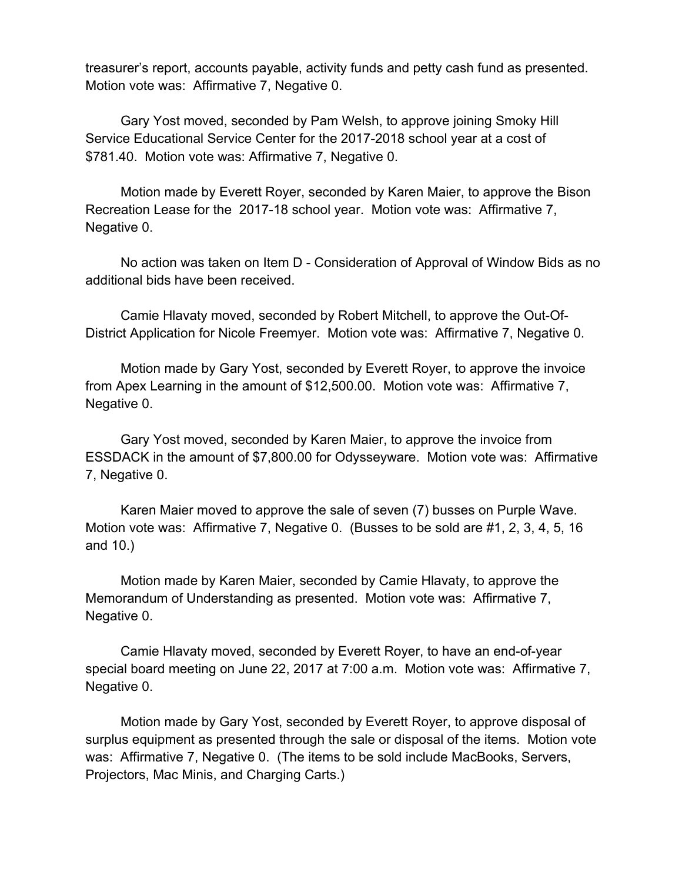treasurer's report, accounts payable, activity funds and petty cash fund as presented. Motion vote was: Affirmative 7, Negative 0.

Gary Yost moved, seconded by Pam Welsh, to approve joining Smoky Hill Service Educational Service Center for the 2017-2018 school year at a cost of \$781.40. Motion vote was: Affirmative 7, Negative 0.

Motion made by Everett Royer, seconded by Karen Maier, to approve the Bison Recreation Lease for the 2017-18 school year. Motion vote was: Affirmative 7, Negative 0.

No action was taken on Item D - Consideration of Approval of Window Bids as no additional bids have been received.

Camie Hlavaty moved, seconded by Robert Mitchell, to approve the Out-Of-District Application for Nicole Freemyer. Motion vote was: Affirmative 7, Negative 0.

Motion made by Gary Yost, seconded by Everett Royer, to approve the invoice from Apex Learning in the amount of \$12,500.00. Motion vote was: Affirmative 7, Negative 0.

Gary Yost moved, seconded by Karen Maier, to approve the invoice from ESSDACK in the amount of \$7,800.00 for Odysseyware. Motion vote was: Affirmative 7, Negative 0.

Karen Maier moved to approve the sale of seven (7) busses on Purple Wave. Motion vote was: Affirmative 7, Negative 0. (Busses to be sold are #1, 2, 3, 4, 5, 16 and 10.)

Motion made by Karen Maier, seconded by Camie Hlavaty, to approve the Memorandum of Understanding as presented. Motion vote was: Affirmative 7, Negative 0.

Camie Hlavaty moved, seconded by Everett Royer, to have an end-of-year special board meeting on June 22, 2017 at 7:00 a.m. Motion vote was: Affirmative 7, Negative 0.

Motion made by Gary Yost, seconded by Everett Royer, to approve disposal of surplus equipment as presented through the sale or disposal of the items. Motion vote was: Affirmative 7, Negative 0. (The items to be sold include MacBooks, Servers, Projectors, Mac Minis, and Charging Carts.)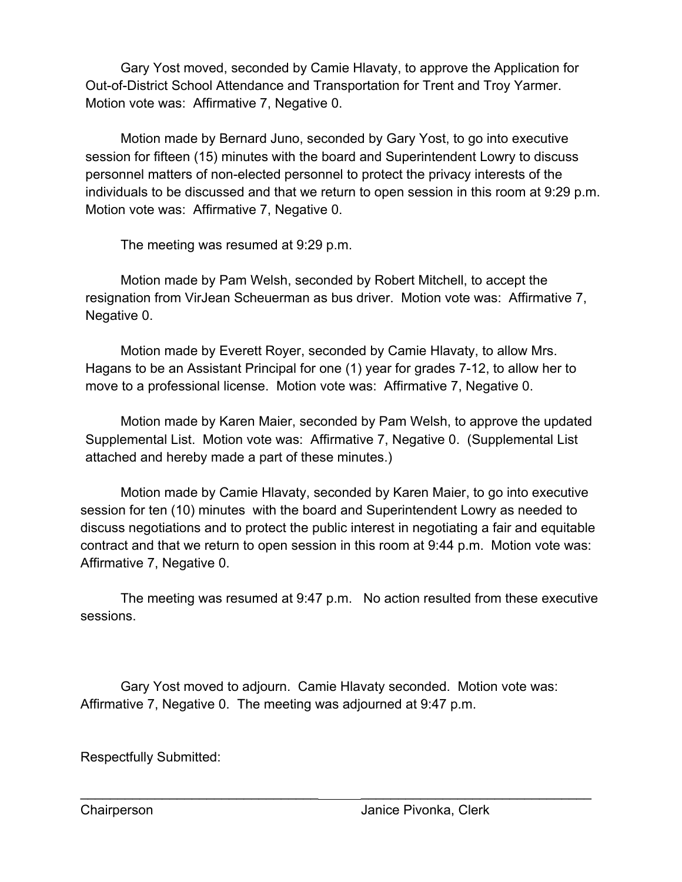Gary Yost moved, seconded by Camie Hlavaty, to approve the Application for Out-of-District School Attendance and Transportation for Trent and Troy Yarmer. Motion vote was: Affirmative 7, Negative 0.

Motion made by Bernard Juno, seconded by Gary Yost, to go into executive session for fifteen (15) minutes with the board and Superintendent Lowry to discuss personnel matters of non-elected personnel to protect the privacy interests of the individuals to be discussed and that we return to open session in this room at 9:29 p.m. Motion vote was: Affirmative 7, Negative 0.

The meeting was resumed at 9:29 p.m.

Motion made by Pam Welsh, seconded by Robert Mitchell, to accept the resignation from VirJean Scheuerman as bus driver. Motion vote was: Affirmative 7, Negative 0.

Motion made by Everett Royer, seconded by Camie Hlavaty, to allow Mrs. Hagans to be an Assistant Principal for one (1) year for grades 7-12, to allow her to move to a professional license. Motion vote was: Affirmative 7, Negative 0.

Motion made by Karen Maier, seconded by Pam Welsh, to approve the updated Supplemental List. Motion vote was: Affirmative 7, Negative 0. (Supplemental List attached and hereby made a part of these minutes.)

Motion made by Camie Hlavaty, seconded by Karen Maier, to go into executive session for ten (10) minutes with the board and Superintendent Lowry as needed to discuss negotiations and to protect the public interest in negotiating a fair and equitable contract and that we return to open session in this room at 9:44 p.m. Motion vote was: Affirmative 7, Negative 0.

The meeting was resumed at 9:47 p.m. No action resulted from these executive sessions.

Gary Yost moved to adjourn. Camie Hlavaty seconded. Motion vote was: Affirmative 7, Negative 0. The meeting was adjourned at 9:47 p.m.

\_\_\_\_\_\_\_\_\_\_\_\_\_\_\_\_\_\_\_\_\_\_\_\_\_\_\_\_\_\_\_\_ \_\_\_\_\_\_\_\_\_\_\_\_\_\_\_\_\_\_\_\_\_\_\_\_\_\_\_\_\_\_\_

Respectfully Submitted: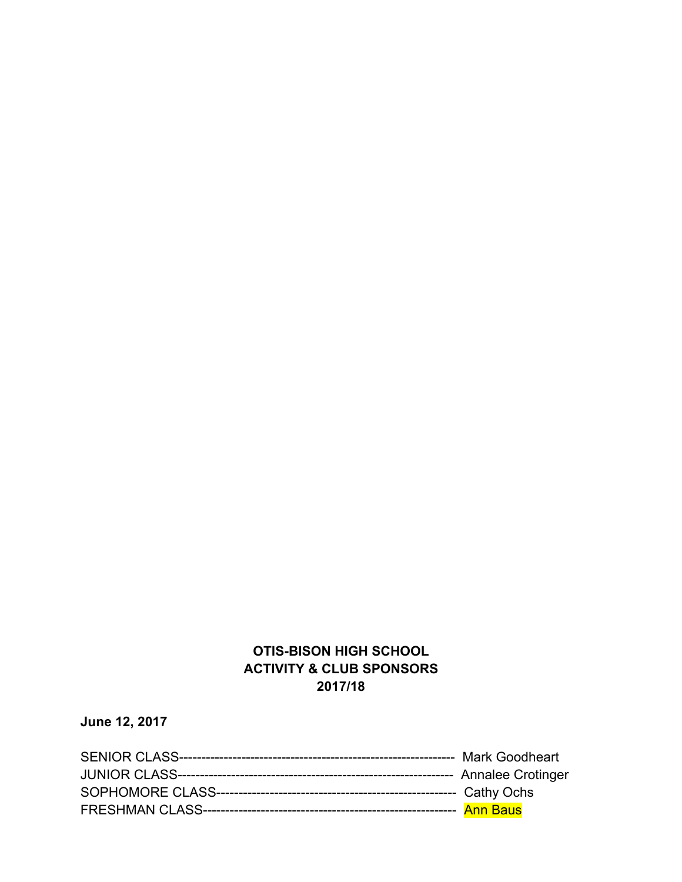## **OTIS-BISON HIGH SCHOOL ACTIVITY & CLUB SPONSORS 2017/18**

**June 12, 2017**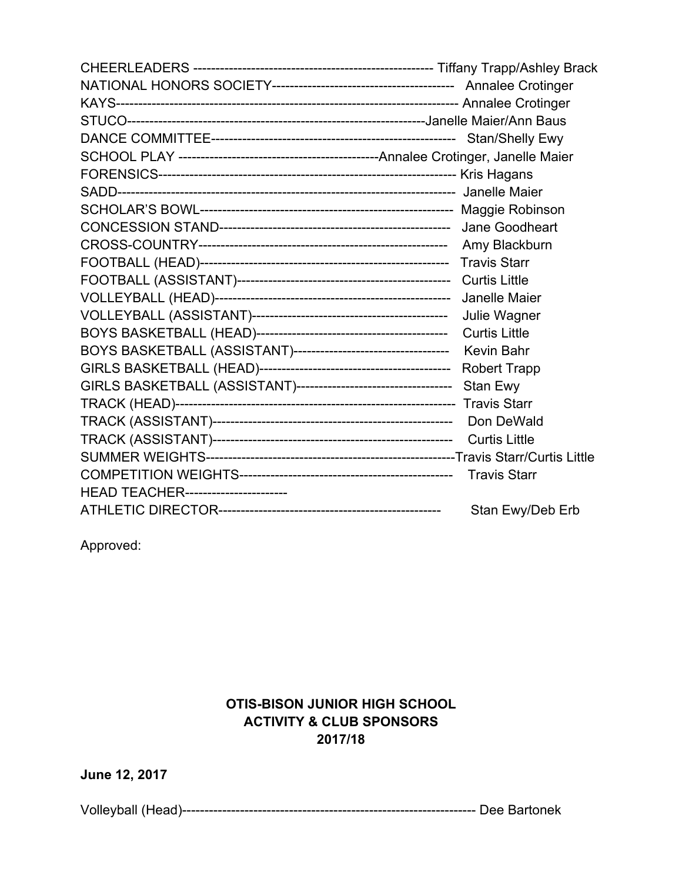|                                     | Amy Blackburn        |
|-------------------------------------|----------------------|
|                                     |                      |
|                                     |                      |
|                                     | Janelle Maier        |
|                                     | Julie Wagner         |
|                                     |                      |
|                                     |                      |
|                                     | <b>Robert Trapp</b>  |
|                                     |                      |
|                                     |                      |
|                                     | Don DeWald           |
|                                     | <b>Curtis Little</b> |
|                                     |                      |
|                                     | <b>Travis Starr</b>  |
| HEAD TEACHER----------------------- |                      |
|                                     | Stan Ewy/Deb Erb     |

Approved:

## **OTIS-BISON JUNIOR HIGH SCHOOL ACTIVITY & CLUB SPONSORS 2017/18**

Volleyball (Head)------------------------------------------------------------------ Dee Bartonek